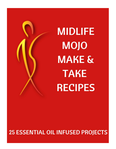

**MIDLIFE MOJO MAKE & TAKE RECIPES** 

**25 ESSENTIAL OIL INFUSED PROJECTS**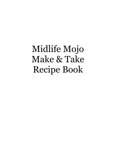Midlife Mojo Make & Take Recipe Book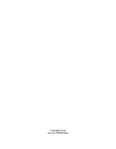Copyright 2019 shor.by/MidlifeMojo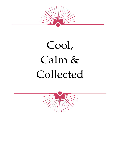

# Cool, Calm & Collected

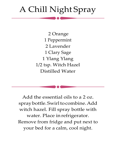#### A Chill Night Spray

2 Orange 1 Peppermint 2 Lavender 1 Clary Sage 1 Ylang Ylang 1/2 tsp. Witch Hazel Distilled Water

Add the essential oils to a 2 oz. spraybottle.Swirltocombine.Add witch hazel. Fill spray bottle with water. Place inrefrigerator. Remove from fridge and put next to your bed for a calm, cool night.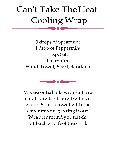# Can't Take TheHeat Cooling Wrap

3 drops of Spearmint 1 drop of Peppermint 1 tsp. Salt IceWater Hand Towel, Scarf,Bandana

Mix essential oils with salt in a small bowl. Fill bowl with ice water. Soak a towel with the water mixture; wring it out. Wrap it around your neck. Sit back and feel the chill.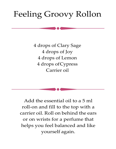### Feeling Groovy Rollon

4 drops of Clary Sage 4 drops of Joy 4 drops of Lemon 4 drops ofCypress Carrier oil

Add the essential oil to a 5 ml roll-on and fill to the top with a carrier oil. Roll on behind the ears or on wrists for a perfume that helps you feel balanced and like yourself again.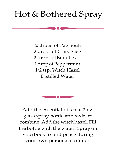### Hot & Bothered Spray

2 drops of Patchouli 2 drops of Clary Sage 2 drops of Endoflex 1dropofPeppermint 1/2 tsp. Witch Hazel Distilled Water

Add the essential oils to a 2 oz. glass spray bottle and swirl to combine. Add the witch hazel. Fill the bottle with the water. Spray on yourbodyto find peace during your own personal summer.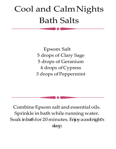## Cool and CalmNights Bath Salts

Epsom Salt 5 drops of Clary Sage 5 drops of Geranium 4 drops ofCypress 3 drops of Peppermint

Combine Epsom salt and essential oils. Sprinkle in bath while running water. Soak in bath for 20 minutes. Enjoy a cool night's sleep.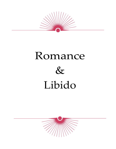

# Romance  $\&$ Libido

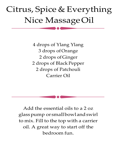## Citrus, Spice & Everything Nice MassageOil

4 drops of Ylang Ylang 3 drops ofOrange 2 drops of Ginger 2 drops of Black Pepper 2 drops of Patchouli Carrier Oil

Add the essential oils to a 2 oz glasspump or smallbowlandswirl to mix. Fill to the top with a carrier oil. A great way to start off the bedroom fun.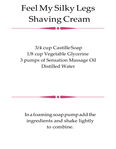# Feel My Silky Legs Shaving Cream

#### 3/4 cup CastilleSoap 1/8 cup Vegetable Glycerine 3 pumps of Sensation Massage Oil Distilled Water

Inafoamingsoappumpaddthe ingredients and shake lightly to combine.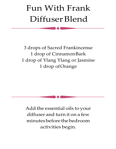## Fun With Frank Diffuser Blend

3 drops of Sacred Frankincense 1 drop of CinnamonBark 1 drop of Ylang Ylang or Jasmine 1 drop ofOrange

Add the essential oils to your diffuser and turn it on a few minutesbefore thebedroom activities begin.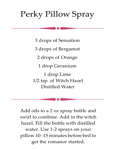### Perky Pillow Spray

3 drops of Sensation 3 drops of Bergamot 2 drops of Orange 1 drop Geranium 1 drop Lime 1/2 tsp. of Witch Hazel Distilled Water

Add oils to a 2 oz spray bottle and swirl to combine. Add in the witch hazel. Fill the bottle with distilled water. Use 1-2 sprays on your pillow 10- 15 minutes before bed to get the romance started.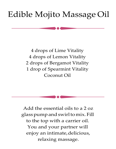#### Edible Mojito Massage Oil

4 drops of Lime Vitality 4 drops of Lemon Vitality 2 drops of Bergamot Vitality 1 drop of Spearmint Vitality Coconut Oil

Add the essential oils to a 2 oz glass pump and swirl to mix. Fill to the top with a carrier oil. You and your partner will enjoy an intimate, delicious, relaxing massage.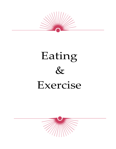

# Eating  $8<sub>x</sub>$ Exercise

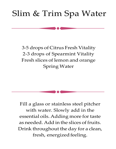### Slim & Trim Spa Water

3-5 drops of Citrus Fresh Vitality 2-3 drops of Spearmint Vitality Fresh slices of lemon and orange Spring Water

Fill a glass or stainless steel pitcher with water. Slowly add in the essential oils. Adding more for taste as needed. Add in the slices of fruits. Drink throughout the day for a clean, fresh, energized feeling.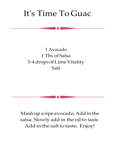#### It's Time To Guac

#### 1 Avocado 1 Tbs of Salsa 3-4dropsofLimeVitality Salt

Mashupa ripe avocado.Addinthe salsa. Slowly add in the oil to taste. Add in the salt to taste. Enjoy!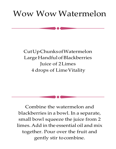#### Wow Wow Watermelon

#### CutUpChunksofWatermelon LargeHandfulofBlackberries Juice of 2Limes 4 drops of LimeVitality

Combine the watermelon and blackberries in a bowl. In a separate, small bowl squeeze the juice from 2 limes. Add in the essential oil and mix together. Pour over the fruit and gently stir tocombine.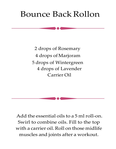#### Bounce Back Rollon

2 drops of Rosemary 4 drops ofMarjoram 5 drops of Wintergreen 4 drops of Lavender Carrier Oil

Add the essential oils to a 5 ml roll-on. Swirl to combine oils. Fill to the top with a carrier oil. Roll on those midlife muscles and joints after a workout.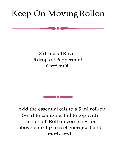### Keep On MovingRollon

#### 8 drops ofRaven 5 drops of Peppermint Carrier Oil

Add the essential oils to a 5 ml roll-on. Swirl to combine. Fill to top with carrier oil. Roll on your chest or above your lip to feel energized and motivated.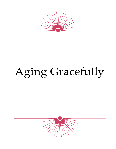

# Aging Gracefully

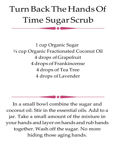# Turn Back The Hands Of Time Sugar Scrub

1 cup Organic Sugar ¼ cup Organic Fractionated Coconut Oil 4 drops ofGrapefruit 4 drops of Frankincense 4 drops of Tea Tree 4 drops ofLavender

In a small bowl combine the sugar and coconut oil. Stir in the essential oils. Add to a jar. Take a small amount of the mixture in your hands and layer on hands and rub hands together. Wash off the sugar. No more hiding those aging hands.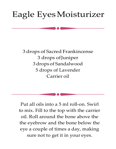### Eagle EyesMoisturizer

3 drops of Sacred Frankincense 3 drops ofJuniper 3 drops of Sandalwood 5 drops of Lavender Carrier oil

Put all oils into a 5 ml roll-on. Swirl to mix. Fill to the top with the carrier oil. Roll around the bone above the the eyebrow and the bone below the eye a couple of times a day, making sure not to get it in your eyes.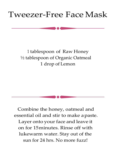#### Tweezer-Free Face Mask

#### 1 tablespoon of Raw Honey ½ tablespoon of Organic Oatmeal 1 drop of Lemon

Combine the honey, oatmeal and essential oil and stir to make apaste. Layer onto your face and leave it on for 15minutes. Rinse off with lukewarm water. Stay out of the sun for 24 hrs. No more fuzz!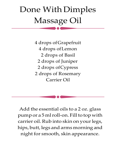# Done With Dimples Massage Oil

4 drops ofGrapefruit 4 drops ofLemon 2 drops of Basil 2 drops of Juniper 2 drops ofCypress 2 drops of Rosemary Carrier Oil

Add the essential oils to a 2 oz. glass pump or a 5 ml roll-on. Fill to top with carrier oil. Rub into skin on your legs, hips, butt, legs and arms morning and night for smooth, skin appearance.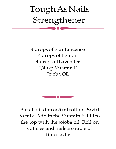# ToughAsNails Strengthener

4 drops of Frankincense 4 drops of Lemon 4 drops ofLavender 1/4 tsp Vitamin E Jojoba Oil

Put all oils into a 5 ml roll-on. Swirl to mix. Add in the Vitamin E. Fill to the top with the jojoba oil. Roll on cuticles and nails a couple of times a day.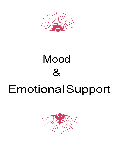

# Mood  $\mathcal{X}$ EmotionalSupport

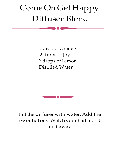## ComeOnGet Happy Diffuser Blend

1 drop ofOrange 2 drops of Joy 2 drops ofLemon Distilled Water

Fill the diffuser with water. Add the essential oils.Watch your bad mood melt away.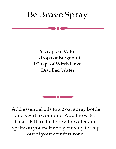#### Be Brave Spray

6 drops ofValor 4 drops of Bergamot 1/2 tsp. of Witch Hazel Distilled Water

Add essential oils to a 2 oz. spray bottle and swirl to combine. Add the witch hazel. Fill to the top with water and spritz on yourself and get ready to step out of your comfort zone.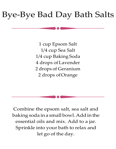#### Bye-Bye Bad Day Bath Salts

1 cup Epsom Salt 1/4 cup Sea Salt 1/4 cup Baking Soda 4 drops ofLavender 2 drops of Geranium 2 drops ofOrange

Combine the epsom salt, sea salt and baking soda ina smallbowl.Addinthe essential oils and mix. Add to a jar. Sprinkle into your bath to relax and let go of the day.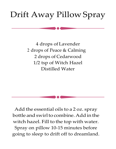### Drift Away Pillow Spray

4 drops ofLavender 2 drops of Peace & Calming 2 drops of Cedarwood 1/2 tsp of Witch Hazel Distilled Water

Add the essential oils to a 2 oz. spray bottle and swirl to combine. Add in the witch hazel. Fill to the top with water. Spray on pillow 10-15 minutes before going to sleep to drift off to dreamland.